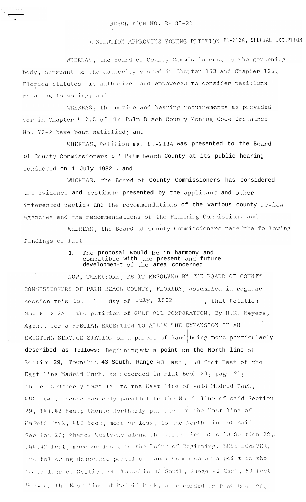## RESOLUTION APPROVING ZONING PETITION 81-213A, SPECIAL EXCEPTION

WHEREAS, the Board of County Commissioners, as the governing body, pursuant to the authority vested in Chapter 163 and Chapter 125, Florida Statutes, is authorized and empowered to consider petitions relating to zoning; and

WHEREAS, the notice and hearing requirements as provided for in Chapter 402.5 of the Palm Beach County Zoning Code Ordinance No. 73-2 have been satisfied; and

WHEREAS, Petition NO. 81-213A was presented to the Board of County Commissioners of 'Palm Beach County at its public hearing conducted on 1 July 1982; and

WHEREAS, the Board of County Commissioners has considered the evidence and testimony presented by the applicant and other interested parties and the recommendations of the various county review agencies and the recommendations of the Planning Commission; and

WHEREAS, the Board of County Commissioners made the following findings of fact:

## The proposal would be in harmony and<br>compatible with the present and future  $\mathbf{1}$ . developmen-t of the area concerned

NOW, THEREFORE, BE IT RESOLVED BY THE BOARD OF COUNTY COMMISSIONERS OF PALM BEACH COUNTY, FLORIDA, assembled in regular session this lst day of July, 1982 , that Petition the petition of GULF OIL CORPORATION, By H.K. Meyers, No. 81-213A Agent, for a SPECIAL EXCEPTION TO ALLOW THE EXPANSION OF AN EXISTING SERVICE STATION on a parcel of land being more particularly described as follows: Beginning at a point on the North line of Section 29, Township 43 South, Range 43 East, 50 feet East of the East line Madrid Park, as recorded in Plat Book 20, page 20; thence Southerly parallel to the East line of said Madrid Park, 480 feet; thence Easterly parallel to the North line of said Section 29, 144.42 feet; thence Northerly parallel to the East line of Madrid Park, 480 feet, more or less, to the North line of said Section 29; thence Westerly along the North line of said Section 29, 144.42 feet, more or less, to the Point of Beginning, LESS HOWEVER, the following described parcel of land: Commence at a point on the North line of Section 29, Township 43 South, Range 43 East, 50 feet East of the East line of Madrid Park, as recorded in Plat Book 20,